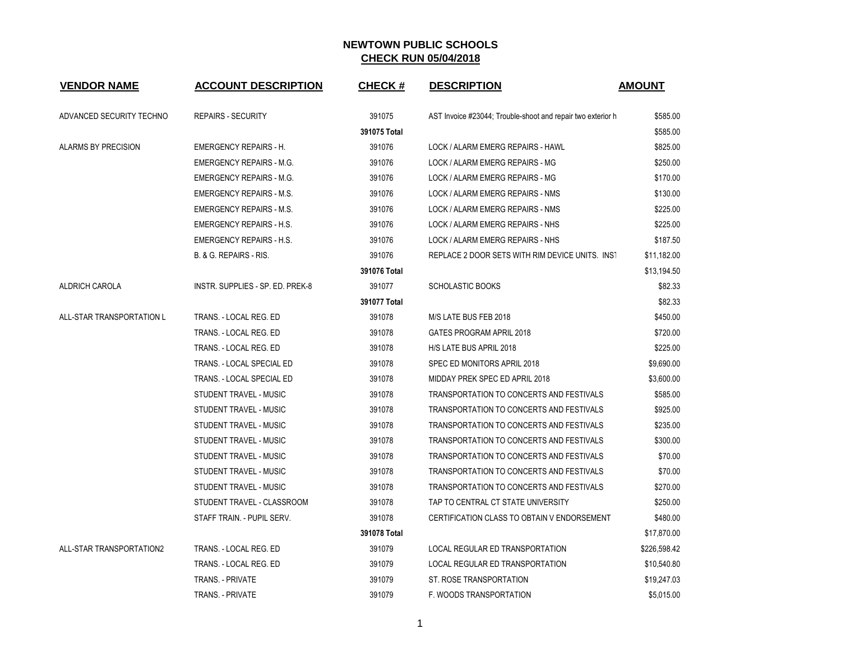| <b>VENDOR NAME</b>        | <b>ACCOUNT DESCRIPTION</b>       | <b>CHECK#</b> | <b>DESCRIPTION</b>                                          | <b>AMOUNT</b> |
|---------------------------|----------------------------------|---------------|-------------------------------------------------------------|---------------|
| ADVANCED SECURITY TECHNO  | <b>REPAIRS - SECURITY</b>        | 391075        | AST Invoice #23044; Trouble-shoot and repair two exterior h | \$585.00      |
|                           |                                  | 391075 Total  |                                                             | \$585.00      |
| ALARMS BY PRECISION       | <b>EMERGENCY REPAIRS - H.</b>    | 391076        | LOCK / ALARM EMERG REPAIRS - HAWL                           | \$825.00      |
|                           | <b>EMERGENCY REPAIRS - M.G.</b>  | 391076        | LOCK / ALARM EMERG REPAIRS - MG                             | \$250.00      |
|                           | <b>EMERGENCY REPAIRS - M.G.</b>  | 391076        | LOCK / ALARM EMERG REPAIRS - MG                             | \$170.00      |
|                           | <b>EMERGENCY REPAIRS - M.S.</b>  | 391076        | LOCK / ALARM EMERG REPAIRS - NMS                            | \$130.00      |
|                           | <b>EMERGENCY REPAIRS - M.S.</b>  | 391076        | LOCK / ALARM EMERG REPAIRS - NMS                            | \$225.00      |
|                           | <b>EMERGENCY REPAIRS - H.S.</b>  | 391076        | LOCK / ALARM EMERG REPAIRS - NHS                            | \$225.00      |
|                           | <b>EMERGENCY REPAIRS - H.S.</b>  | 391076        | LOCK / ALARM EMERG REPAIRS - NHS                            | \$187.50      |
|                           | B. & G. REPAIRS - RIS.           | 391076        | REPLACE 2 DOOR SETS WITH RIM DEVICE UNITS. INST             | \$11,182.00   |
|                           |                                  | 391076 Total  |                                                             | \$13,194.50   |
| ALDRICH CAROLA            | INSTR. SUPPLIES - SP. ED. PREK-8 | 391077        | <b>SCHOLASTIC BOOKS</b>                                     | \$82.33       |
|                           |                                  | 391077 Total  |                                                             | \$82.33       |
| ALL-STAR TRANSPORTATION L | TRANS. - LOCAL REG. ED           | 391078        | M/S LATE BUS FEB 2018                                       | \$450.00      |
|                           | TRANS. - LOCAL REG. ED           | 391078        | <b>GATES PROGRAM APRIL 2018</b>                             | \$720.00      |
|                           | TRANS. - LOCAL REG. ED           | 391078        | H/S LATE BUS APRIL 2018                                     | \$225.00      |
|                           | TRANS. - LOCAL SPECIAL ED        | 391078        | SPEC ED MONITORS APRIL 2018                                 | \$9,690.00    |
|                           | TRANS. - LOCAL SPECIAL ED        | 391078        | MIDDAY PREK SPEC ED APRIL 2018                              | \$3,600.00    |
|                           | STUDENT TRAVEL - MUSIC           | 391078        | TRANSPORTATION TO CONCERTS AND FESTIVALS                    | \$585.00      |
|                           | STUDENT TRAVEL - MUSIC           | 391078        | TRANSPORTATION TO CONCERTS AND FESTIVALS                    | \$925.00      |
|                           | STUDENT TRAVEL - MUSIC           | 391078        | TRANSPORTATION TO CONCERTS AND FESTIVALS                    | \$235.00      |
|                           | STUDENT TRAVEL - MUSIC           | 391078        | TRANSPORTATION TO CONCERTS AND FESTIVALS                    | \$300.00      |
|                           | STUDENT TRAVEL - MUSIC           | 391078        | TRANSPORTATION TO CONCERTS AND FESTIVALS                    | \$70.00       |
|                           | STUDENT TRAVEL - MUSIC           | 391078        | TRANSPORTATION TO CONCERTS AND FESTIVALS                    | \$70.00       |
|                           | STUDENT TRAVEL - MUSIC           | 391078        | TRANSPORTATION TO CONCERTS AND FESTIVALS                    | \$270.00      |
|                           | STUDENT TRAVEL - CLASSROOM       | 391078        | TAP TO CENTRAL CT STATE UNIVERSITY                          | \$250.00      |
|                           | STAFF TRAIN. - PUPIL SERV.       | 391078        | CERTIFICATION CLASS TO OBTAIN V ENDORSEMENT                 | \$480.00      |
|                           |                                  | 391078 Total  |                                                             | \$17,870.00   |
| ALL-STAR TRANSPORTATION2  | TRANS. - LOCAL REG. ED           | 391079        | LOCAL REGULAR ED TRANSPORTATION                             | \$226,598.42  |
|                           | TRANS. - LOCAL REG. ED           | 391079        | LOCAL REGULAR ED TRANSPORTATION                             | \$10,540.80   |
|                           | <b>TRANS. - PRIVATE</b>          | 391079        | ST. ROSE TRANSPORTATION                                     | \$19,247.03   |
|                           | TRANS. - PRIVATE                 | 391079        | F. WOODS TRANSPORTATION                                     | \$5,015.00    |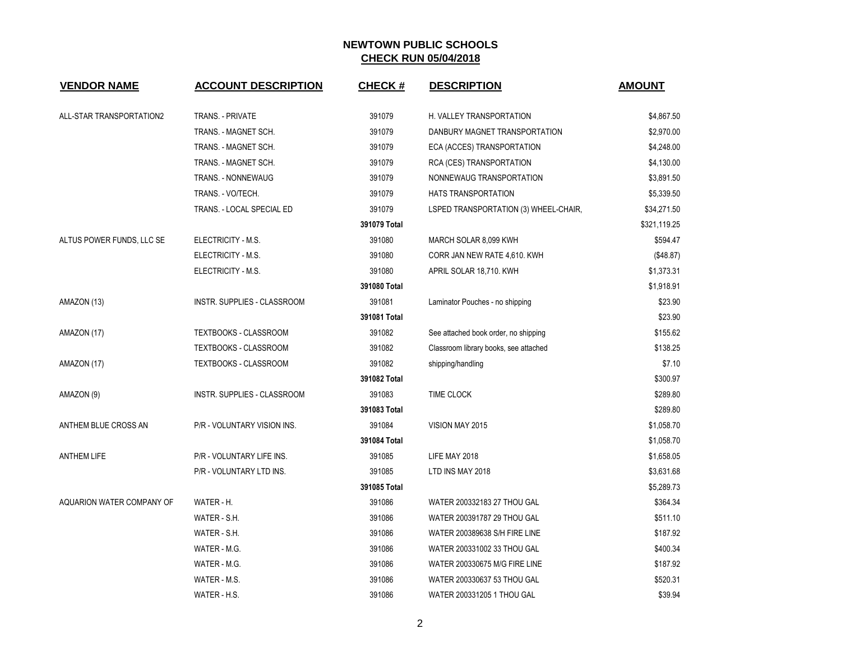| <b>VENDOR NAME</b>        | <b>ACCOUNT DESCRIPTION</b>   | <b>CHECK#</b> | <b>DESCRIPTION</b>                    | <b>AMOUNT</b> |
|---------------------------|------------------------------|---------------|---------------------------------------|---------------|
| ALL-STAR TRANSPORTATION2  | TRANS. - PRIVATE             | 391079        | H. VALLEY TRANSPORTATION              | \$4,867.50    |
|                           | TRANS. - MAGNET SCH.         | 391079        |                                       | \$2,970.00    |
|                           |                              |               | DANBURY MAGNET TRANSPORTATION         |               |
|                           | TRANS. - MAGNET SCH.         | 391079        | ECA (ACCES) TRANSPORTATION            | \$4,248.00    |
|                           | TRANS. - MAGNET SCH.         | 391079        | RCA (CES) TRANSPORTATION              | \$4,130.00    |
|                           | TRANS. - NONNEWAUG           | 391079        | NONNEWAUG TRANSPORTATION              | \$3,891.50    |
|                           | TRANS. - VO/TECH.            | 391079        | <b>HATS TRANSPORTATION</b>            | \$5,339.50    |
|                           | TRANS. - LOCAL SPECIAL ED    | 391079        | LSPED TRANSPORTATION (3) WHEEL-CHAIR, | \$34,271.50   |
|                           |                              | 391079 Total  |                                       | \$321,119.25  |
| ALTUS POWER FUNDS, LLC SE | ELECTRICITY - M.S.           | 391080        | MARCH SOLAR 8,099 KWH                 | \$594.47      |
|                           | ELECTRICITY - M.S.           | 391080        | CORR JAN NEW RATE 4,610. KWH          | (\$48.87)     |
|                           | ELECTRICITY - M.S.           | 391080        | APRIL SOLAR 18,710. KWH               | \$1,373.31    |
|                           |                              | 391080 Total  |                                       | \$1,918.91    |
| AMAZON (13)               | INSTR. SUPPLIES - CLASSROOM  | 391081        | Laminator Pouches - no shipping       | \$23.90       |
|                           |                              | 391081 Total  |                                       | \$23.90       |
| AMAZON (17)               | TEXTBOOKS - CLASSROOM        | 391082        | See attached book order, no shipping  | \$155.62      |
|                           | <b>TEXTBOOKS - CLASSROOM</b> | 391082        | Classroom library books, see attached | \$138.25      |
| AMAZON (17)               | TEXTBOOKS - CLASSROOM        | 391082        | shipping/handling                     | \$7.10        |
|                           |                              | 391082 Total  |                                       | \$300.97      |
| AMAZON (9)                | INSTR. SUPPLIES - CLASSROOM  | 391083        | <b>TIME CLOCK</b>                     | \$289.80      |
|                           |                              | 391083 Total  |                                       | \$289.80      |
| ANTHEM BLUE CROSS AN      | P/R - VOLUNTARY VISION INS.  | 391084        | VISION MAY 2015                       | \$1,058.70    |
|                           |                              | 391084 Total  |                                       | \$1,058.70    |
| <b>ANTHEM LIFE</b>        | P/R - VOLUNTARY LIFE INS.    | 391085        | LIFE MAY 2018                         | \$1,658.05    |
|                           | P/R - VOLUNTARY LTD INS.     | 391085        | LTD INS MAY 2018                      | \$3,631.68    |
|                           |                              | 391085 Total  |                                       | \$5,289.73    |
| AQUARION WATER COMPANY OF | WATER - H.                   | 391086        | WATER 200332183 27 THOU GAL           | \$364.34      |
|                           | WATER - S.H.                 | 391086        | WATER 200391787 29 THOU GAL           | \$511.10      |
|                           | WATER - S.H.                 | 391086        | WATER 200389638 S/H FIRE LINE         | \$187.92      |
|                           | WATER - M.G.                 | 391086        | WATER 200331002 33 THOU GAL           | \$400.34      |
|                           | WATER - M.G.                 | 391086        | WATER 200330675 M/G FIRE LINE         | \$187.92      |
|                           | WATER - M.S.                 | 391086        | WATER 200330637 53 THOU GAL           | \$520.31      |
|                           | WATER - H.S.                 | 391086        | WATER 200331205 1 THOU GAL            | \$39.94       |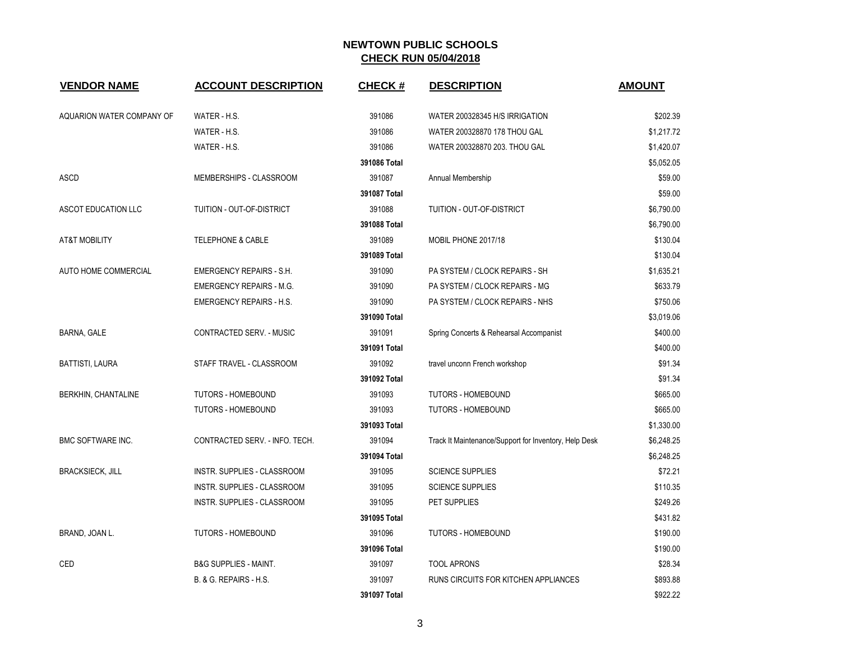| <b>VENDOR NAME</b>         | <b>ACCOUNT DESCRIPTION</b>       | <b>CHECK#</b> | <b>DESCRIPTION</b>                                    | <b>AMOUNT</b> |
|----------------------------|----------------------------------|---------------|-------------------------------------------------------|---------------|
| AQUARION WATER COMPANY OF  | WATER - H.S.                     | 391086        | WATER 200328345 H/S IRRIGATION                        | \$202.39      |
|                            | WATER - H.S.                     | 391086        | WATER 200328870 178 THOU GAL                          | \$1,217.72    |
|                            | WATER - H.S.                     | 391086        | WATER 200328870 203. THOU GAL                         | \$1,420.07    |
|                            |                                  | 391086 Total  |                                                       | \$5,052.05    |
| ASCD                       | MEMBERSHIPS - CLASSROOM          | 391087        | Annual Membership                                     | \$59.00       |
|                            |                                  | 391087 Total  |                                                       | \$59.00       |
| ASCOT EDUCATION LLC        | TUITION - OUT-OF-DISTRICT        | 391088        | TUITION - OUT-OF-DISTRICT                             | \$6,790.00    |
|                            |                                  | 391088 Total  |                                                       | \$6,790.00    |
| <b>AT&amp;T MOBILITY</b>   | <b>TELEPHONE &amp; CABLE</b>     | 391089        | MOBIL PHONE 2017/18                                   | \$130.04      |
|                            |                                  | 391089 Total  |                                                       | \$130.04      |
| AUTO HOME COMMERCIAL       | <b>EMERGENCY REPAIRS - S.H.</b>  | 391090        | PA SYSTEM / CLOCK REPAIRS - SH                        | \$1,635.21    |
|                            | <b>EMERGENCY REPAIRS - M.G.</b>  | 391090        | PA SYSTEM / CLOCK REPAIRS - MG                        | \$633.79      |
|                            | <b>EMERGENCY REPAIRS - H.S.</b>  | 391090        | PA SYSTEM / CLOCK REPAIRS - NHS                       | \$750.06      |
|                            |                                  | 391090 Total  |                                                       | \$3,019.06    |
| BARNA, GALE                | CONTRACTED SERV. - MUSIC         | 391091        | Spring Concerts & Rehearsal Accompanist               | \$400.00      |
|                            |                                  | 391091 Total  |                                                       | \$400.00      |
| <b>BATTISTI, LAURA</b>     | STAFF TRAVEL - CLASSROOM         | 391092        | travel unconn French workshop                         | \$91.34       |
|                            |                                  | 391092 Total  |                                                       | \$91.34       |
| <b>BERKHIN, CHANTALINE</b> | <b>TUTORS - HOMEBOUND</b>        | 391093        | <b>TUTORS - HOMEBOUND</b>                             | \$665.00      |
|                            | <b>TUTORS - HOMEBOUND</b>        | 391093        | <b>TUTORS - HOMEBOUND</b>                             | \$665.00      |
|                            |                                  | 391093 Total  |                                                       | \$1,330.00    |
| <b>BMC SOFTWARE INC.</b>   | CONTRACTED SERV. - INFO. TECH.   | 391094        | Track It Maintenance/Support for Inventory, Help Desk | \$6,248.25    |
|                            |                                  | 391094 Total  |                                                       | \$6,248.25    |
| <b>BRACKSIECK, JILL</b>    | INSTR. SUPPLIES - CLASSROOM      | 391095        | <b>SCIENCE SUPPLIES</b>                               | \$72.21       |
|                            | INSTR. SUPPLIES - CLASSROOM      | 391095        | <b>SCIENCE SUPPLIES</b>                               | \$110.35      |
|                            | INSTR. SUPPLIES - CLASSROOM      | 391095        | PET SUPPLIES                                          | \$249.26      |
|                            |                                  | 391095 Total  |                                                       | \$431.82      |
| BRAND, JOAN L.             | <b>TUTORS - HOMEBOUND</b>        | 391096        | <b>TUTORS - HOMEBOUND</b>                             | \$190.00      |
|                            |                                  | 391096 Total  |                                                       | \$190.00      |
| CED                        | <b>B&amp;G SUPPLIES - MAINT.</b> | 391097        | <b>TOOL APRONS</b>                                    | \$28.34       |
|                            | B. & G. REPAIRS - H.S.           | 391097        | RUNS CIRCUITS FOR KITCHEN APPLIANCES                  | \$893.88      |
|                            |                                  | 391097 Total  |                                                       | \$922.22      |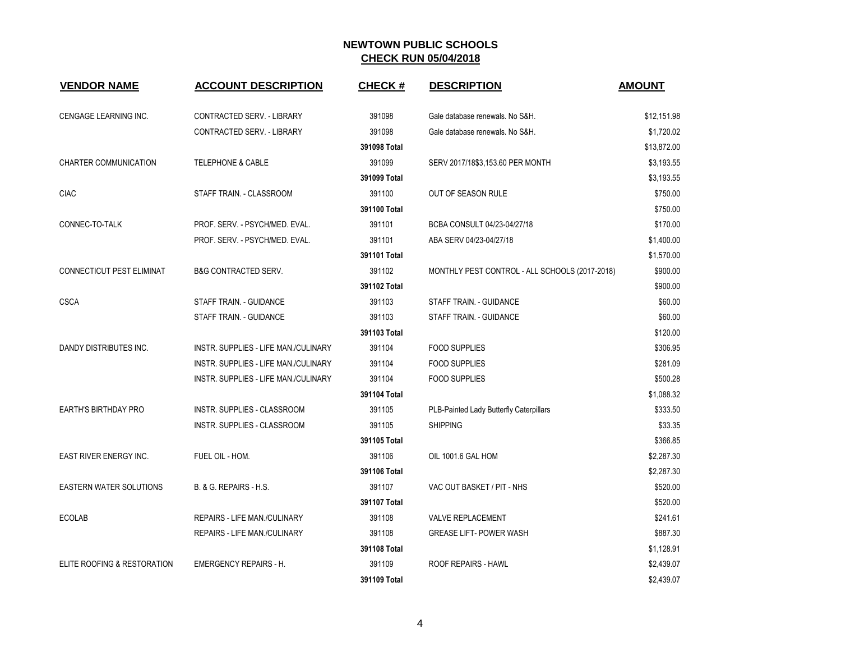| <b>VENDOR NAME</b>             | <b>ACCOUNT DESCRIPTION</b>           | <b>CHECK#</b> | <b>DESCRIPTION</b>                             | <b>AMOUNT</b> |
|--------------------------------|--------------------------------------|---------------|------------------------------------------------|---------------|
| CENGAGE LEARNING INC.          | CONTRACTED SERV. - LIBRARY           | 391098        | Gale database renewals. No S&H.                | \$12,151.98   |
|                                | CONTRACTED SERV. - LIBRARY           | 391098        | Gale database renewals. No S&H.                | \$1,720.02    |
|                                |                                      | 391098 Total  |                                                | \$13,872.00   |
| CHARTER COMMUNICATION          | <b>TELEPHONE &amp; CABLE</b>         | 391099        | SERV 2017/18\$3,153.60 PER MONTH               | \$3,193.55    |
|                                |                                      | 391099 Total  |                                                | \$3,193.55    |
| <b>CIAC</b>                    | STAFF TRAIN. - CLASSROOM             | 391100        | OUT OF SEASON RULE                             | \$750.00      |
|                                |                                      | 391100 Total  |                                                | \$750.00      |
| CONNEC-TO-TALK                 | PROF. SERV. - PSYCH/MED. EVAL.       | 391101        | BCBA CONSULT 04/23-04/27/18                    | \$170.00      |
|                                | PROF. SERV. - PSYCH/MED. EVAL.       | 391101        | ABA SERV 04/23-04/27/18                        | \$1,400.00    |
|                                |                                      | 391101 Total  |                                                | \$1,570.00    |
| CONNECTICUT PEST ELIMINAT      | <b>B&amp;G CONTRACTED SERV.</b>      | 391102        | MONTHLY PEST CONTROL - ALL SCHOOLS (2017-2018) | \$900.00      |
|                                |                                      | 391102 Total  |                                                | \$900.00      |
| <b>CSCA</b>                    | STAFF TRAIN. - GUIDANCE              | 391103        | STAFF TRAIN. - GUIDANCE                        | \$60.00       |
|                                | STAFF TRAIN. - GUIDANCE              | 391103        | STAFF TRAIN. - GUIDANCE                        | \$60.00       |
|                                |                                      | 391103 Total  |                                                | \$120.00      |
| DANDY DISTRIBUTES INC.         | INSTR. SUPPLIES - LIFE MAN./CULINARY | 391104        | <b>FOOD SUPPLIES</b>                           | \$306.95      |
|                                | INSTR. SUPPLIES - LIFE MAN./CULINARY | 391104        | <b>FOOD SUPPLIES</b>                           | \$281.09      |
|                                | INSTR. SUPPLIES - LIFE MAN./CULINARY | 391104        | <b>FOOD SUPPLIES</b>                           | \$500.28      |
|                                |                                      | 391104 Total  |                                                | \$1,088.32    |
| <b>EARTH'S BIRTHDAY PRO</b>    | INSTR. SUPPLIES - CLASSROOM          | 391105        | PLB-Painted Lady Butterfly Caterpillars        | \$333.50      |
|                                | INSTR. SUPPLIES - CLASSROOM          | 391105        | <b>SHIPPING</b>                                | \$33.35       |
|                                |                                      | 391105 Total  |                                                | \$366.85      |
| EAST RIVER ENERGY INC.         | FUEL OIL - HOM.                      | 391106        | OIL 1001.6 GAL HOM                             | \$2,287.30    |
|                                |                                      | 391106 Total  |                                                | \$2,287.30    |
| <b>EASTERN WATER SOLUTIONS</b> | B. & G. REPAIRS - H.S.               | 391107        | VAC OUT BASKET / PIT - NHS                     | \$520.00      |
|                                |                                      | 391107 Total  |                                                | \$520.00      |
| <b>ECOLAB</b>                  | REPAIRS - LIFE MAN./CULINARY         | 391108        | <b>VALVE REPLACEMENT</b>                       | \$241.61      |
|                                | REPAIRS - LIFE MAN./CULINARY         | 391108        | <b>GREASE LIFT- POWER WASH</b>                 | \$887.30      |
|                                |                                      | 391108 Total  |                                                | \$1,128.91    |
| ELITE ROOFING & RESTORATION    | <b>EMERGENCY REPAIRS - H.</b>        | 391109        | ROOF REPAIRS - HAWL                            | \$2,439.07    |
|                                |                                      | 391109 Total  |                                                | \$2,439.07    |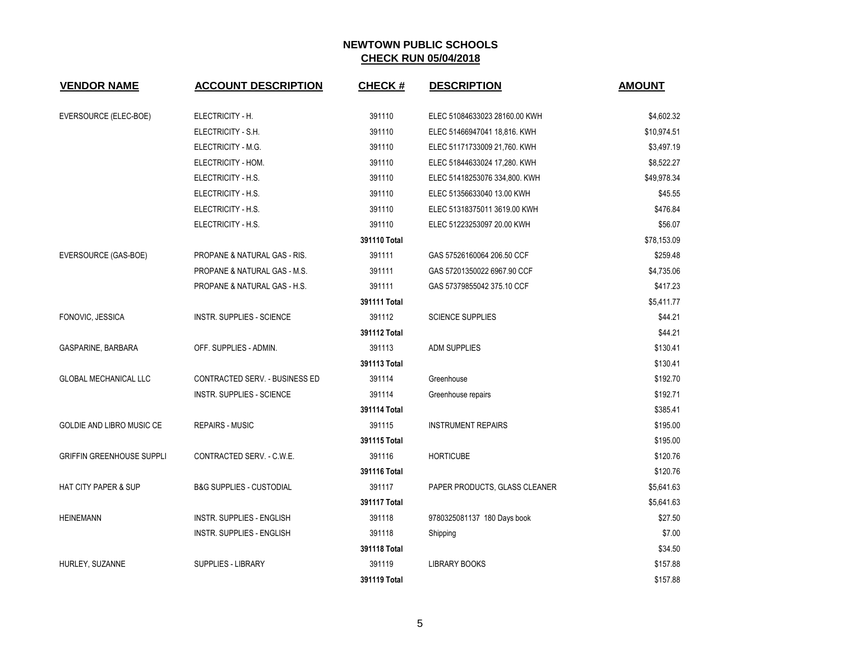| <b>VENDOR NAME</b>               | <b>ACCOUNT DESCRIPTION</b>            | <b>CHECK#</b> | <b>DESCRIPTION</b>            | <b>AMOUNT</b> |
|----------------------------------|---------------------------------------|---------------|-------------------------------|---------------|
| EVERSOURCE (ELEC-BOE)            | ELECTRICITY - H.                      | 391110        | ELEC 51084633023 28160.00 KWH | \$4,602.32    |
|                                  | ELECTRICITY - S.H.                    | 391110        | ELEC 51466947041 18,816. KWH  | \$10,974.51   |
|                                  | ELECTRICITY - M.G.                    | 391110        | ELEC 51171733009 21,760. KWH  | \$3,497.19    |
|                                  | ELECTRICITY - HOM.                    | 391110        | ELEC 51844633024 17,280. KWH  | \$8,522.27    |
|                                  | ELECTRICITY - H.S.                    | 391110        | ELEC 51418253076 334,800. KWH | \$49,978.34   |
|                                  | ELECTRICITY - H.S.                    | 391110        | ELEC 51356633040 13.00 KWH    | \$45.55       |
|                                  | ELECTRICITY - H.S.                    | 391110        | ELEC 51318375011 3619.00 KWH  | \$476.84      |
|                                  | ELECTRICITY - H.S.                    | 391110        | ELEC 51223253097 20.00 KWH    | \$56.07       |
|                                  |                                       | 391110 Total  |                               | \$78,153.09   |
| EVERSOURCE (GAS-BOE)             | PROPANE & NATURAL GAS - RIS.          | 391111        | GAS 57526160064 206.50 CCF    | \$259.48      |
|                                  | PROPANE & NATURAL GAS - M.S.          | 391111        | GAS 57201350022 6967.90 CCF   | \$4,735.06    |
|                                  | PROPANE & NATURAL GAS - H.S.          | 391111        | GAS 57379855042 375.10 CCF    | \$417.23      |
|                                  |                                       | 391111 Total  |                               | \$5,411.77    |
| FONOVIC, JESSICA                 | INSTR. SUPPLIES - SCIENCE             | 391112        | <b>SCIENCE SUPPLIES</b>       | \$44.21       |
|                                  |                                       | 391112 Total  |                               | \$44.21       |
| GASPARINE, BARBARA               | OFF. SUPPLIES - ADMIN.                | 391113        | <b>ADM SUPPLIES</b>           | \$130.41      |
|                                  |                                       | 391113 Total  |                               | \$130.41      |
| <b>GLOBAL MECHANICAL LLC</b>     | <b>CONTRACTED SERV. - BUSINESS ED</b> | 391114        | Greenhouse                    | \$192.70      |
|                                  | <b>INSTR. SUPPLIES - SCIENCE</b>      | 391114        | Greenhouse repairs            | \$192.71      |
|                                  |                                       | 391114 Total  |                               | \$385.41      |
| GOLDIE AND LIBRO MUSIC CE        | <b>REPAIRS - MUSIC</b>                | 391115        | <b>INSTRUMENT REPAIRS</b>     | \$195.00      |
|                                  |                                       | 391115 Total  |                               | \$195.00      |
| <b>GRIFFIN GREENHOUSE SUPPLI</b> | CONTRACTED SERV. - C.W.E.             | 391116        | <b>HORTICUBE</b>              | \$120.76      |
|                                  |                                       | 391116 Total  |                               | \$120.76      |
| <b>HAT CITY PAPER &amp; SUP</b>  | <b>B&amp;G SUPPLIES - CUSTODIAL</b>   | 391117        | PAPER PRODUCTS, GLASS CLEANER | \$5,641.63    |
|                                  |                                       | 391117 Total  |                               | \$5,641.63    |
| <b>HEINEMANN</b>                 | INSTR. SUPPLIES - ENGLISH             | 391118        | 9780325081137 180 Days book   | \$27.50       |
|                                  | INSTR. SUPPLIES - ENGLISH             | 391118        | Shipping                      | \$7.00        |
|                                  |                                       | 391118 Total  |                               | \$34.50       |
| HURLEY, SUZANNE                  | SUPPLIES - LIBRARY                    | 391119        | <b>LIBRARY BOOKS</b>          | \$157.88      |
|                                  |                                       | 391119 Total  |                               | \$157.88      |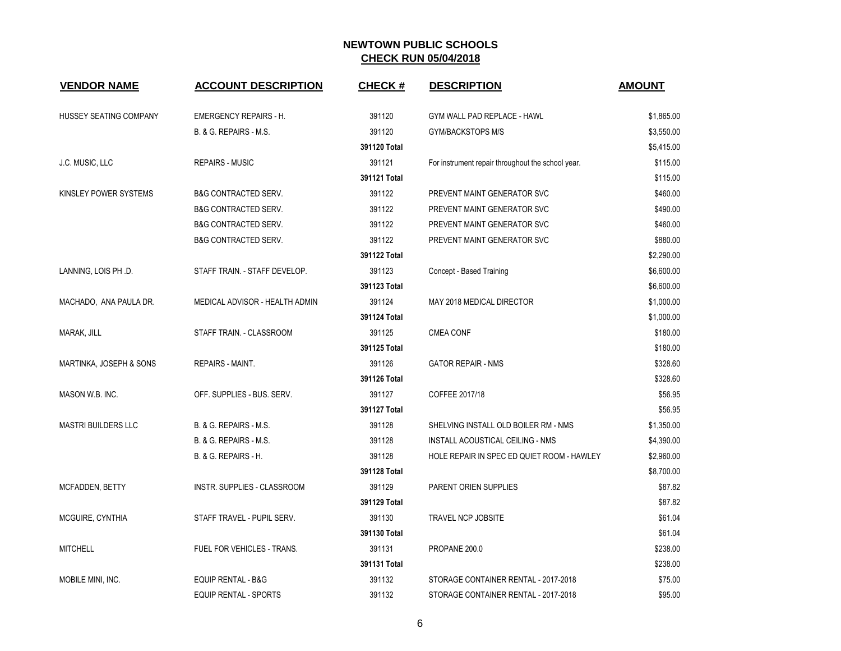| <b>VENDOR NAME</b>         | <b>ACCOUNT DESCRIPTION</b>        | <b>CHECK#</b> | <b>DESCRIPTION</b>                                | <b>AMOUNT</b> |
|----------------------------|-----------------------------------|---------------|---------------------------------------------------|---------------|
| HUSSEY SEATING COMPANY     | <b>EMERGENCY REPAIRS - H.</b>     | 391120        | GYM WALL PAD REPLACE - HAWL                       | \$1,865.00    |
|                            | B. & G. REPAIRS - M.S.            | 391120        | <b>GYM/BACKSTOPS M/S</b>                          | \$3,550.00    |
|                            |                                   | 391120 Total  |                                                   | \$5,415.00    |
| J.C. MUSIC, LLC            | <b>REPAIRS - MUSIC</b>            | 391121        | For instrument repair throughout the school year. | \$115.00      |
|                            |                                   | 391121 Total  |                                                   | \$115.00      |
| KINSLEY POWER SYSTEMS      | <b>B&amp;G CONTRACTED SERV.</b>   | 391122        | PREVENT MAINT GENERATOR SVC                       | \$460.00      |
|                            | <b>B&amp;G CONTRACTED SERV.</b>   | 391122        | PREVENT MAINT GENERATOR SVC                       | \$490.00      |
|                            | <b>B&amp;G CONTRACTED SERV.</b>   | 391122        | PREVENT MAINT GENERATOR SVC                       | \$460.00      |
|                            | <b>B&amp;G CONTRACTED SERV.</b>   | 391122        | PREVENT MAINT GENERATOR SVC                       | \$880.00      |
|                            |                                   | 391122 Total  |                                                   | \$2,290.00    |
| LANNING, LOIS PH .D.       | STAFF TRAIN. - STAFF DEVELOP.     | 391123        | Concept - Based Training                          | \$6,600.00    |
|                            |                                   | 391123 Total  |                                                   | \$6,600.00    |
| MACHADO, ANA PAULA DR.     | MEDICAL ADVISOR - HEALTH ADMIN    | 391124        | MAY 2018 MEDICAL DIRECTOR                         | \$1,000.00    |
|                            |                                   | 391124 Total  |                                                   | \$1,000.00    |
| MARAK, JILL                | STAFF TRAIN. - CLASSROOM          | 391125        | <b>CMEA CONF</b>                                  | \$180.00      |
|                            |                                   | 391125 Total  |                                                   | \$180.00      |
| MARTINKA, JOSEPH & SONS    | REPAIRS - MAINT.                  | 391126        | <b>GATOR REPAIR - NMS</b>                         | \$328.60      |
|                            |                                   | 391126 Total  |                                                   | \$328.60      |
| MASON W.B. INC.            | OFF. SUPPLIES - BUS. SERV.        | 391127        | COFFEE 2017/18                                    | \$56.95       |
|                            |                                   | 391127 Total  |                                                   | \$56.95       |
| <b>MASTRI BUILDERS LLC</b> | B. & G. REPAIRS - M.S.            | 391128        | SHELVING INSTALL OLD BOILER RM - NMS              | \$1,350.00    |
|                            | B. & G. REPAIRS - M.S.            | 391128        | INSTALL ACOUSTICAL CEILING - NMS                  | \$4,390.00    |
|                            | B. & G. REPAIRS - H.              | 391128        | HOLE REPAIR IN SPEC ED QUIET ROOM - HAWLEY        | \$2,960.00    |
|                            |                                   | 391128 Total  |                                                   | \$8,700.00    |
| <b>MCFADDEN, BETTY</b>     | INSTR. SUPPLIES - CLASSROOM       | 391129        | PARENT ORIEN SUPPLIES                             | \$87.82       |
|                            |                                   | 391129 Total  |                                                   | \$87.82       |
| MCGUIRE, CYNTHIA           | STAFF TRAVEL - PUPIL SERV.        | 391130        | <b>TRAVEL NCP JOBSITE</b>                         | \$61.04       |
|                            |                                   | 391130 Total  |                                                   | \$61.04       |
| <b>MITCHELL</b>            | <b>FUEL FOR VEHICLES - TRANS.</b> | 391131        | PROPANE 200.0                                     | \$238.00      |
|                            |                                   | 391131 Total  |                                                   | \$238.00      |
| MOBILE MINI, INC.          | <b>EQUIP RENTAL - B&amp;G</b>     | 391132        | STORAGE CONTAINER RENTAL - 2017-2018              | \$75.00       |
|                            | <b>EQUIP RENTAL - SPORTS</b>      | 391132        | STORAGE CONTAINER RENTAL - 2017-2018              | \$95.00       |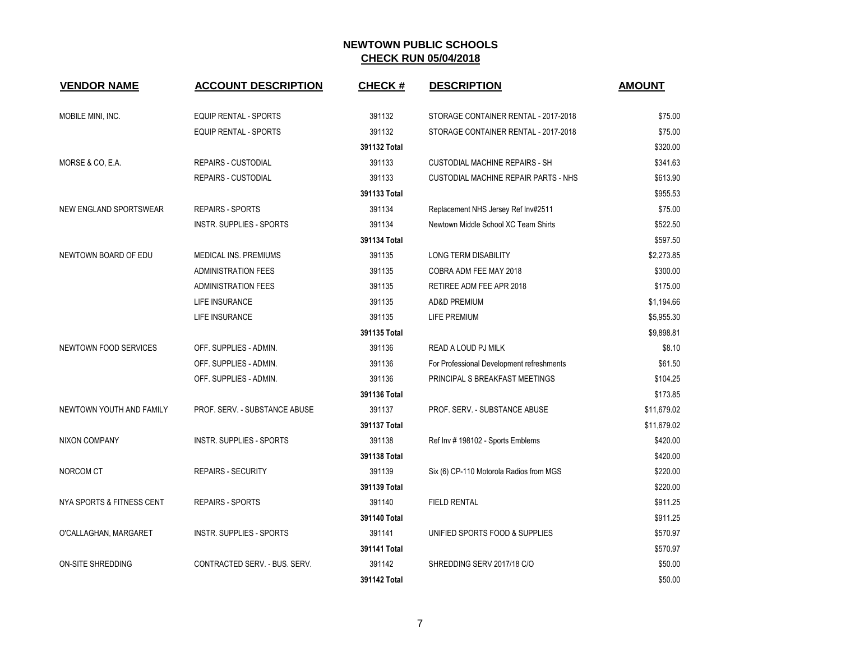| <b>VENDOR NAME</b>            | <b>ACCOUNT DESCRIPTION</b>    | <b>CHECK#</b> | <b>DESCRIPTION</b>                        | <b>AMOUNT</b> |
|-------------------------------|-------------------------------|---------------|-------------------------------------------|---------------|
| MOBILE MINI, INC.             | <b>EQUIP RENTAL - SPORTS</b>  | 391132        | STORAGE CONTAINER RENTAL - 2017-2018      | \$75.00       |
|                               | <b>EQUIP RENTAL - SPORTS</b>  | 391132        | STORAGE CONTAINER RENTAL - 2017-2018      | \$75.00       |
|                               |                               | 391132 Total  |                                           | \$320.00      |
| MORSE & CO, E.A.              | <b>REPAIRS - CUSTODIAL</b>    | 391133        | <b>CUSTODIAL MACHINE REPAIRS - SH</b>     | \$341.63      |
|                               | <b>REPAIRS - CUSTODIAL</b>    | 391133        | CUSTODIAL MACHINE REPAIR PARTS - NHS      | \$613.90      |
|                               |                               | 391133 Total  |                                           | \$955.53      |
| <b>NEW ENGLAND SPORTSWEAR</b> | <b>REPAIRS - SPORTS</b>       | 391134        | Replacement NHS Jersey Ref Inv#2511       | \$75.00       |
|                               | INSTR. SUPPLIES - SPORTS      | 391134        | Newtown Middle School XC Team Shirts      | \$522.50      |
|                               |                               | 391134 Total  |                                           | \$597.50      |
| NEWTOWN BOARD OF EDU          | MEDICAL INS. PREMIUMS         | 391135        | <b>LONG TERM DISABILITY</b>               | \$2,273.85    |
|                               | <b>ADMINISTRATION FEES</b>    | 391135        | COBRA ADM FEE MAY 2018                    | \$300.00      |
|                               | <b>ADMINISTRATION FEES</b>    | 391135        | RETIREE ADM FEE APR 2018                  | \$175.00      |
|                               | LIFE INSURANCE                | 391135        | <b>AD&amp;D PREMIUM</b>                   | \$1,194.66    |
|                               | LIFE INSURANCE                | 391135        | LIFE PREMIUM                              | \$5,955.30    |
|                               |                               | 391135 Total  |                                           | \$9,898.81    |
| NEWTOWN FOOD SERVICES         | OFF. SUPPLIES - ADMIN.        | 391136        | READ A LOUD PJ MILK                       | \$8.10        |
|                               | OFF. SUPPLIES - ADMIN.        | 391136        | For Professional Development refreshments | \$61.50       |
|                               | OFF. SUPPLIES - ADMIN.        | 391136        | PRINCIPAL S BREAKFAST MEETINGS            | \$104.25      |
|                               |                               | 391136 Total  |                                           | \$173.85      |
| NEWTOWN YOUTH AND FAMILY      | PROF. SERV. - SUBSTANCE ABUSE | 391137        | PROF. SERV. - SUBSTANCE ABUSE             | \$11,679.02   |
|                               |                               | 391137 Total  |                                           | \$11,679.02   |
| <b>NIXON COMPANY</b>          | INSTR. SUPPLIES - SPORTS      | 391138        | Ref Inv #198102 - Sports Emblems          | \$420.00      |
|                               |                               | 391138 Total  |                                           | \$420.00      |
| NORCOM CT                     | <b>REPAIRS - SECURITY</b>     | 391139        | Six (6) CP-110 Motorola Radios from MGS   | \$220.00      |
|                               |                               | 391139 Total  |                                           | \$220.00      |
| NYA SPORTS & FITNESS CENT     | <b>REPAIRS - SPORTS</b>       | 391140        | <b>FIELD RENTAL</b>                       | \$911.25      |
|                               |                               | 391140 Total  |                                           | \$911.25      |
| O'CALLAGHAN, MARGARET         | INSTR. SUPPLIES - SPORTS      | 391141        | UNIFIED SPORTS FOOD & SUPPLIES            | \$570.97      |
|                               |                               | 391141 Total  |                                           | \$570.97      |
| ON-SITE SHREDDING             | CONTRACTED SERV. - BUS. SERV. | 391142        | SHREDDING SERV 2017/18 C/O                | \$50.00       |
|                               |                               | 391142 Total  |                                           | \$50.00       |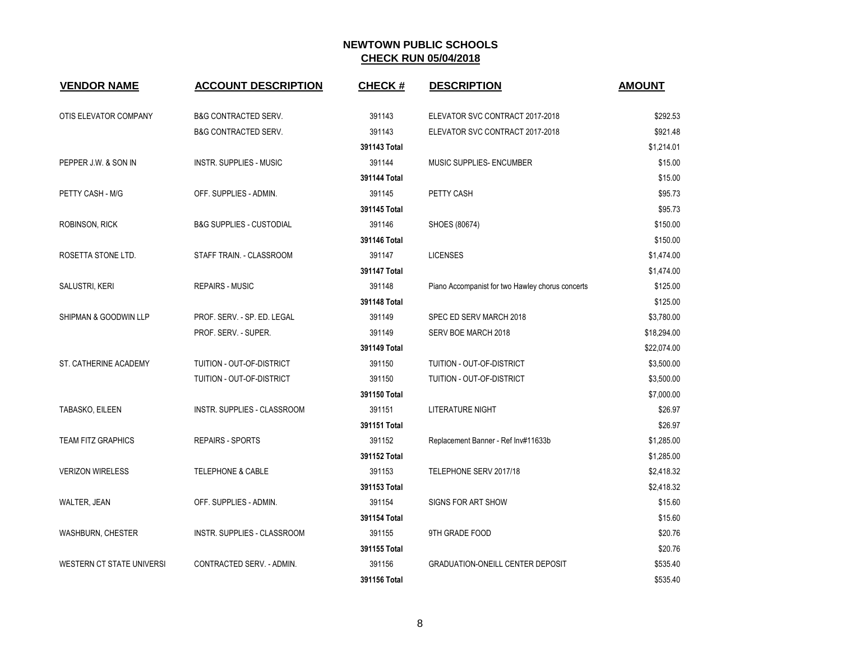| <b>VENDOR NAME</b>        | <b>ACCOUNT DESCRIPTION</b>      | <b>CHECK#</b> | <b>DESCRIPTION</b>                               | <b>AMOUNT</b> |
|---------------------------|---------------------------------|---------------|--------------------------------------------------|---------------|
| OTIS ELEVATOR COMPANY     | <b>B&amp;G CONTRACTED SERV.</b> | 391143        | ELEVATOR SVC CONTRACT 2017-2018                  | \$292.53      |
|                           | <b>B&amp;G CONTRACTED SERV.</b> | 391143        | ELEVATOR SVC CONTRACT 2017-2018                  | \$921.48      |
|                           |                                 | 391143 Total  |                                                  | \$1,214.01    |
| PEPPER J.W. & SON IN      | <b>INSTR. SUPPLIES - MUSIC</b>  | 391144        | <b>MUSIC SUPPLIES- ENCUMBER</b>                  | \$15.00       |
|                           |                                 | 391144 Total  |                                                  | \$15.00       |
| PETTY CASH - M/G          | OFF. SUPPLIES - ADMIN.          | 391145        | PETTY CASH                                       | \$95.73       |
|                           |                                 | 391145 Total  |                                                  | \$95.73       |
| <b>ROBINSON, RICK</b>     | B&G SUPPLIES - CUSTODIAL        | 391146        | SHOES (80674)                                    | \$150.00      |
|                           |                                 | 391146 Total  |                                                  | \$150.00      |
| ROSETTA STONE LTD.        | STAFF TRAIN. - CLASSROOM        | 391147        | <b>LICENSES</b>                                  | \$1,474.00    |
|                           |                                 | 391147 Total  |                                                  | \$1,474.00    |
| SALUSTRI, KERI            | <b>REPAIRS - MUSIC</b>          | 391148        | Piano Accompanist for two Hawley chorus concerts | \$125.00      |
|                           |                                 | 391148 Total  |                                                  | \$125.00      |
| SHIPMAN & GOODWIN LLP     | PROF. SERV. - SP. ED. LEGAL     | 391149        | SPEC ED SERV MARCH 2018                          | \$3,780.00    |
|                           | PROF. SERV. - SUPER.            | 391149        | SERV BOE MARCH 2018                              | \$18,294.00   |
|                           |                                 | 391149 Total  |                                                  | \$22,074.00   |
| ST. CATHERINE ACADEMY     | TUITION - OUT-OF-DISTRICT       | 391150        | TUITION - OUT-OF-DISTRICT                        | \$3,500.00    |
|                           | TUITION - OUT-OF-DISTRICT       | 391150        | TUITION - OUT-OF-DISTRICT                        | \$3,500.00    |
|                           |                                 | 391150 Total  |                                                  | \$7,000.00    |
| TABASKO, EILEEN           | INSTR. SUPPLIES - CLASSROOM     | 391151        | <b>LITERATURE NIGHT</b>                          | \$26.97       |
|                           |                                 | 391151 Total  |                                                  | \$26.97       |
| <b>TEAM FITZ GRAPHICS</b> | REPAIRS - SPORTS                | 391152        | Replacement Banner - Ref Inv#11633b              | \$1,285.00    |
|                           |                                 | 391152 Total  |                                                  | \$1,285.00    |
| <b>VERIZON WIRELESS</b>   | TELEPHONE & CABLE               | 391153        | TELEPHONE SERV 2017/18                           | \$2,418.32    |
|                           |                                 | 391153 Total  |                                                  | \$2,418.32    |
| WALTER, JEAN              | OFF. SUPPLIES - ADMIN.          | 391154        | SIGNS FOR ART SHOW                               | \$15.60       |
|                           |                                 | 391154 Total  |                                                  | \$15.60       |
| WASHBURN, CHESTER         | INSTR. SUPPLIES - CLASSROOM     | 391155        | 9TH GRADE FOOD                                   | \$20.76       |
|                           |                                 | 391155 Total  |                                                  | \$20.76       |
| WESTERN CT STATE UNIVERSI | CONTRACTED SERV. - ADMIN.       | 391156        | <b>GRADUATION-ONEILL CENTER DEPOSIT</b>          | \$535.40      |
|                           |                                 | 391156 Total  |                                                  | \$535.40      |